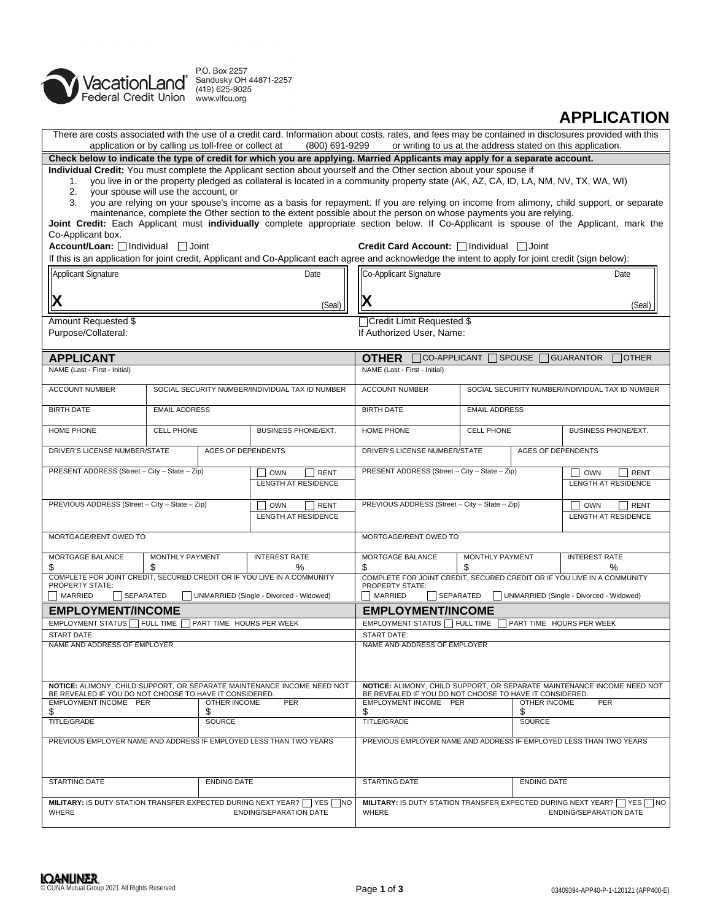

# **APPLICATION**

| There are costs associated with the use of a credit card. Information about costs, rates, and fees may be contained in disclosures provided with this<br>application or by calling us toll-free or collect at<br>(800) 691-9299<br>or writing to us at the address stated on this application. |                                                                                                                |                                                            |                                                                                                               |                                                  |  |  |
|------------------------------------------------------------------------------------------------------------------------------------------------------------------------------------------------------------------------------------------------------------------------------------------------|----------------------------------------------------------------------------------------------------------------|------------------------------------------------------------|---------------------------------------------------------------------------------------------------------------|--------------------------------------------------|--|--|
| Check below to indicate the type of credit for which you are applying. Married Applicants may apply for a separate account.                                                                                                                                                                    |                                                                                                                |                                                            |                                                                                                               |                                                  |  |  |
| Individual Credit: You must complete the Applicant section about yourself and the Other section about your spouse if<br>you live in or the property pledged as collateral is located in a community property state (AK, AZ, CA, ID, LA, NM, NV, TX, WA, WI)<br>1.                              |                                                                                                                |                                                            |                                                                                                               |                                                  |  |  |
| your spouse will use the account, or<br>2.<br>you are relying on your spouse's income as a basis for repayment. If you are relying on income from alimony, child support, or separate<br>3.                                                                                                    |                                                                                                                |                                                            |                                                                                                               |                                                  |  |  |
| maintenance, complete the Other section to the extent possible about the person on whose payments you are relying.<br>Joint Credit: Each Applicant must individually complete appropriate section below. If Co-Applicant is spouse of the Applicant, mark the                                  |                                                                                                                |                                                            |                                                                                                               |                                                  |  |  |
| Co-Applicant box.<br>Account/Loan: <i>□</i> Individual □ Joint                                                                                                                                                                                                                                 |                                                                                                                | Credit Card Account: □ Individual                          | $\Box$ Joint                                                                                                  |                                                  |  |  |
| If this is an application for joint credit, Applicant and Co-Applicant each agree and acknowledge the intent to apply for joint credit (sign below):                                                                                                                                           |                                                                                                                |                                                            |                                                                                                               |                                                  |  |  |
| Applicant Signature                                                                                                                                                                                                                                                                            | Date                                                                                                           | Co-Applicant Signature<br>Date                             |                                                                                                               |                                                  |  |  |
| $\mathbf X$                                                                                                                                                                                                                                                                                    | (Seal)                                                                                                         | X                                                          |                                                                                                               | (Seal)                                           |  |  |
| Amount Requested \$                                                                                                                                                                                                                                                                            |                                                                                                                | Credit Limit Requested \$                                  |                                                                                                               |                                                  |  |  |
| Purpose/Collateral:                                                                                                                                                                                                                                                                            |                                                                                                                | If Authorized User, Name:                                  |                                                                                                               |                                                  |  |  |
| <b>APPLICANT</b>                                                                                                                                                                                                                                                                               |                                                                                                                | <b>OTHER</b>                                               | $\Box$ CO-APPLICANT $\Box$ SPOUSE $\Box$ GUARANTOR                                                            | <b>OTHER</b>                                     |  |  |
| NAME (Last - First - Initial)                                                                                                                                                                                                                                                                  |                                                                                                                | NAME (Last - First - Initial)                              |                                                                                                               |                                                  |  |  |
| <b>ACCOUNT NUMBER</b>                                                                                                                                                                                                                                                                          | SOCIAL SECURITY NUMBER/INDIVIDUAL TAX ID NUMBER                                                                | <b>ACCOUNT NUMBER</b>                                      |                                                                                                               | SOCIAL SECURITY NUMBER/INDIVIDUAL TAX ID NUMBER  |  |  |
| <b>BIRTH DATE</b><br><b>EMAIL ADDRESS</b>                                                                                                                                                                                                                                                      |                                                                                                                | <b>BIRTH DATE</b>                                          | <b>EMAIL ADDRESS</b>                                                                                          |                                                  |  |  |
| HOME PHONE<br><b>CELL PHONE</b>                                                                                                                                                                                                                                                                | <b>BUSINESS PHONE/EXT.</b>                                                                                     | HOME PHONE                                                 | <b>CELL PHONE</b>                                                                                             | <b>BUSINESS PHONE/EXT.</b>                       |  |  |
| DRIVER'S LICENSE NUMBER/STATE                                                                                                                                                                                                                                                                  | <b>AGES OF DEPENDENTS</b>                                                                                      | DRIVER'S LICENSE NUMBER/STATE<br><b>AGES OF DEPENDENTS</b> |                                                                                                               |                                                  |  |  |
| PRESENT ADDRESS (Street - City - State - Zip)                                                                                                                                                                                                                                                  | <b>RENT</b><br><b>OWN</b><br><b>LENGTH AT RESIDENCE</b>                                                        |                                                            | PRESENT ADDRESS (Street - City - State - Zip)<br><b>OWN</b><br><b>RENT</b><br><b>LENGTH AT RESIDENCE</b>      |                                                  |  |  |
|                                                                                                                                                                                                                                                                                                |                                                                                                                |                                                            |                                                                                                               |                                                  |  |  |
| PREVIOUS ADDRESS (Street - City - State - Zip)<br><b>OWN</b><br><b>RENT</b><br>LENGTH AT RESIDENCE                                                                                                                                                                                             |                                                                                                                | PREVIOUS ADDRESS (Street - City - State - Zip)             |                                                                                                               | <b>OWN</b><br><b>RENT</b><br>LENGTH AT RESIDENCE |  |  |
| MORTGAGE/RENT OWED TO                                                                                                                                                                                                                                                                          |                                                                                                                | MORTGAGE/RENT OWED TO                                      |                                                                                                               |                                                  |  |  |
| MORTGAGE BALANCE<br>MONTHLY PAYMENT<br>\$<br>\$                                                                                                                                                                                                                                                | <b>INTEREST RATE</b><br>%                                                                                      | MORTGAGE BALANCE<br>MONTHLY PAYMENT<br>\$<br>\$            |                                                                                                               | <b>INTEREST RATE</b><br>℅                        |  |  |
| COMPLETE FOR JOINT CREDIT, SECURED CREDIT OR IF YOU LIVE IN A COMMUNITY<br>PROPERTY STATE:                                                                                                                                                                                                     |                                                                                                                | <b>PROPERTY STATE:</b>                                     | COMPLETE FOR JOINT CREDIT, SECURED CREDIT OR IF YOU LIVE IN A COMMUNITY                                       |                                                  |  |  |
| MARRIED<br>SEPARATED                                                                                                                                                                                                                                                                           | UNMARRIED (Single - Divorced - Widowed)                                                                        | MARRIED<br>SEPARATED                                       |                                                                                                               | UNMARRIED (Single - Divorced - Widowed)          |  |  |
| <b>EMPLOYMENT/INCOME</b>                                                                                                                                                                                                                                                                       |                                                                                                                | <b>EMPLOYMENT/INCOME</b>                                   |                                                                                                               |                                                  |  |  |
| EMPLOYMENT STATUS Π FULL TIME                                                                                                                                                                                                                                                                  | PART TIME HOURS PER WEEK                                                                                       | EMPLOYMENT STATUS FULL TIME<br>PART TIME HOURS PER WEEK    |                                                                                                               |                                                  |  |  |
| <b>START DATE:</b><br>NAME AND ADDRESS OF EMPLOYER                                                                                                                                                                                                                                             |                                                                                                                | <b>START DATE:</b><br>NAME AND ADDRESS OF EMPLOYER         |                                                                                                               |                                                  |  |  |
|                                                                                                                                                                                                                                                                                                |                                                                                                                |                                                            |                                                                                                               |                                                  |  |  |
| NOTICE: ALIMONY, CHILD SUPPORT, OR SEPARATE MAINTENANCE INCOME NEED NOT<br>BE REVEALED IF YOU DO NOT CHOOSE TO HAVE IT CONSIDERED.                                                                                                                                                             | NOTICE: ALIMONY, CHILD SUPPORT, OR SEPARATE MAINTENANCE INCOME NEED NOT                                        |                                                            |                                                                                                               |                                                  |  |  |
| EMPLOYMENT INCOME PER<br>OTHER INCOME                                                                                                                                                                                                                                                          | BE REVEALED IF YOU DO NOT CHOOSE TO HAVE IT CONSIDERED.<br>EMPLOYMENT INCOME PER<br>OTHER INCOME<br><b>PER</b> |                                                            |                                                                                                               |                                                  |  |  |
| \$<br>\$<br><b>TITLE/GRADE</b><br><b>SOURCE</b>                                                                                                                                                                                                                                                |                                                                                                                | \$<br>\$<br>TITLE/GRADE<br>SOURCE                          |                                                                                                               |                                                  |  |  |
| PREVIOUS EMPLOYER NAME AND ADDRESS IF EMPLOYED LESS THAN TWO YEARS                                                                                                                                                                                                                             | PREVIOUS EMPLOYER NAME AND ADDRESS IF EMPLOYED LESS THAN TWO YEARS                                             |                                                            |                                                                                                               |                                                  |  |  |
|                                                                                                                                                                                                                                                                                                |                                                                                                                |                                                            |                                                                                                               |                                                  |  |  |
| <b>STARTING DATE</b><br><b>ENDING DATE</b>                                                                                                                                                                                                                                                     | <b>STARTING DATE</b><br><b>ENDING DATE</b>                                                                     |                                                            |                                                                                                               |                                                  |  |  |
| MILITARY: IS DUTY STATION TRANSFER EXPECTED DURING NEXT YEAR?     YES  <br><b>WHERE</b><br><b>ENDING/SEPARATION DATE</b>                                                                                                                                                                       | WHERE                                                                                                          |                                                            | MILITARY: IS DUTY STATION TRANSFER EXPECTED DURING NEXT YEAR?     YES     NO<br><b>ENDING/SEPARATION DATE</b> |                                                  |  |  |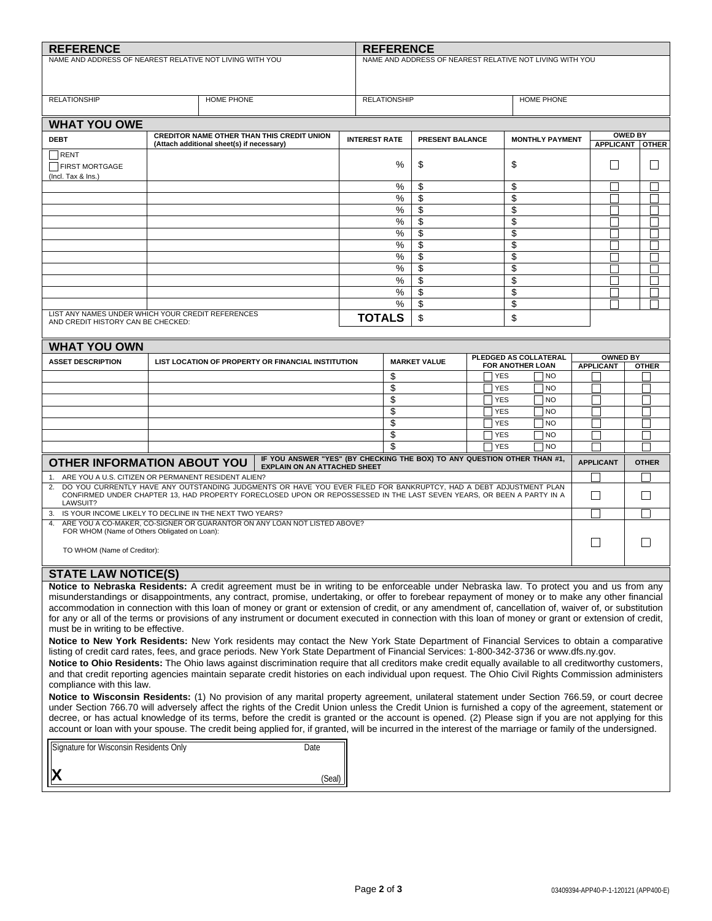| <b>REFERENCE</b><br><b>REFERENCE</b>                                                                                                                                                                                                                                                                                |                                                                                                                                                                                                                                                                                                           |                                                                                                                                          |        |                      |        |                                                          |  |                          |                        |                  |                 |                                     |         |
|---------------------------------------------------------------------------------------------------------------------------------------------------------------------------------------------------------------------------------------------------------------------------------------------------------------------|-----------------------------------------------------------------------------------------------------------------------------------------------------------------------------------------------------------------------------------------------------------------------------------------------------------|------------------------------------------------------------------------------------------------------------------------------------------|--------|----------------------|--------|----------------------------------------------------------|--|--------------------------|------------------------|------------------|-----------------|-------------------------------------|---------|
| NAME AND ADDRESS OF NEAREST RELATIVE NOT LIVING WITH YOU                                                                                                                                                                                                                                                            |                                                                                                                                                                                                                                                                                                           |                                                                                                                                          |        |                      |        | NAME AND ADDRESS OF NEAREST RELATIVE NOT LIVING WITH YOU |  |                          |                        |                  |                 |                                     |         |
|                                                                                                                                                                                                                                                                                                                     |                                                                                                                                                                                                                                                                                                           |                                                                                                                                          |        |                      |        |                                                          |  |                          |                        |                  |                 |                                     |         |
| <b>RELATIONSHIP</b>                                                                                                                                                                                                                                                                                                 |                                                                                                                                                                                                                                                                                                           | <b>HOME PHONE</b>                                                                                                                        |        | <b>RELATIONSHIP</b>  |        |                                                          |  |                          | <b>HOME PHONE</b>      |                  |                 |                                     |         |
|                                                                                                                                                                                                                                                                                                                     |                                                                                                                                                                                                                                                                                                           |                                                                                                                                          |        |                      |        |                                                          |  |                          |                        |                  |                 |                                     |         |
| <b>WHAT YOU OWE</b>                                                                                                                                                                                                                                                                                                 |                                                                                                                                                                                                                                                                                                           |                                                                                                                                          |        |                      |        |                                                          |  |                          |                        |                  |                 |                                     |         |
| <b>DEBT</b>                                                                                                                                                                                                                                                                                                         |                                                                                                                                                                                                                                                                                                           | <b>CREDITOR NAME OTHER THAN THIS CREDIT UNION</b><br>(Attach additional sheet(s) if necessary)                                           |        | <b>INTEREST RATE</b> |        | PRESENT BALANCE                                          |  |                          | <b>MONTHLY PAYMENT</b> |                  |                 | <b>OWED BY</b><br>APPLICANT   OTHER |         |
| RENT<br>FIRST MORTGAGE                                                                                                                                                                                                                                                                                              |                                                                                                                                                                                                                                                                                                           |                                                                                                                                          |        |                      | %      | \$                                                       |  | \$                       |                        |                  | $\mathsf{L}$    |                                     | $\perp$ |
| (Incl. Tax & Ins.)                                                                                                                                                                                                                                                                                                  |                                                                                                                                                                                                                                                                                                           |                                                                                                                                          |        |                      | %      | \$                                                       |  | \$                       |                        |                  |                 |                                     |         |
|                                                                                                                                                                                                                                                                                                                     |                                                                                                                                                                                                                                                                                                           |                                                                                                                                          |        |                      | %      | \$                                                       |  | \$                       |                        |                  |                 |                                     |         |
|                                                                                                                                                                                                                                                                                                                     |                                                                                                                                                                                                                                                                                                           |                                                                                                                                          |        |                      | %<br>% | \$<br>\$                                                 |  | \$<br>\$                 |                        |                  |                 |                                     |         |
|                                                                                                                                                                                                                                                                                                                     |                                                                                                                                                                                                                                                                                                           |                                                                                                                                          |        |                      | %      | \$                                                       |  | \$                       |                        |                  |                 |                                     |         |
|                                                                                                                                                                                                                                                                                                                     |                                                                                                                                                                                                                                                                                                           |                                                                                                                                          |        |                      | ℅      | \$                                                       |  | \$                       |                        |                  |                 |                                     |         |
|                                                                                                                                                                                                                                                                                                                     |                                                                                                                                                                                                                                                                                                           |                                                                                                                                          |        |                      | %      | \$                                                       |  | \$                       |                        |                  |                 |                                     |         |
|                                                                                                                                                                                                                                                                                                                     |                                                                                                                                                                                                                                                                                                           |                                                                                                                                          |        |                      | %<br>% | \$<br>\$                                                 |  | \$<br>\$                 |                        |                  |                 |                                     |         |
|                                                                                                                                                                                                                                                                                                                     |                                                                                                                                                                                                                                                                                                           |                                                                                                                                          |        |                      | %      | \$                                                       |  | \$                       |                        |                  |                 |                                     |         |
|                                                                                                                                                                                                                                                                                                                     |                                                                                                                                                                                                                                                                                                           |                                                                                                                                          |        |                      | %      | \$                                                       |  | \$                       |                        |                  |                 |                                     |         |
| LIST ANY NAMES UNDER WHICH YOUR CREDIT REFERENCES<br>AND CREDIT HISTORY CAN BE CHECKED:                                                                                                                                                                                                                             |                                                                                                                                                                                                                                                                                                           |                                                                                                                                          |        | <b>TOTALS</b>        |        | \$                                                       |  | \$                       |                        |                  |                 |                                     |         |
| <b>WHAT YOU OWN</b>                                                                                                                                                                                                                                                                                                 |                                                                                                                                                                                                                                                                                                           |                                                                                                                                          |        |                      |        |                                                          |  |                          |                        |                  |                 |                                     |         |
| <b>ASSET DESCRIPTION</b>                                                                                                                                                                                                                                                                                            |                                                                                                                                                                                                                                                                                                           | LIST LOCATION OF PROPERTY OR FINANCIAL INSTITUTION                                                                                       |        |                      |        | <b>MARKET VALUE</b>                                      |  | FOR ANOTHER LOAN         | PLEDGED AS COLLATERAL  | <b>APPLICANT</b> | <b>OWNED BY</b> | <b>OTHER</b>                        |         |
|                                                                                                                                                                                                                                                                                                                     |                                                                                                                                                                                                                                                                                                           |                                                                                                                                          |        | \$                   |        |                                                          |  | <b>YES</b>               | NO                     |                  |                 |                                     |         |
|                                                                                                                                                                                                                                                                                                                     |                                                                                                                                                                                                                                                                                                           |                                                                                                                                          |        | \$                   |        |                                                          |  | <b>YES</b>               | NO                     |                  |                 |                                     |         |
|                                                                                                                                                                                                                                                                                                                     |                                                                                                                                                                                                                                                                                                           |                                                                                                                                          |        | \$<br>\$             |        |                                                          |  | <b>YES</b><br><b>YES</b> | NO<br>N <sub>O</sub>   |                  |                 |                                     |         |
|                                                                                                                                                                                                                                                                                                                     |                                                                                                                                                                                                                                                                                                           |                                                                                                                                          |        | \$                   |        |                                                          |  | <b>YES</b>               | N <sub>O</sub>         |                  |                 |                                     |         |
|                                                                                                                                                                                                                                                                                                                     |                                                                                                                                                                                                                                                                                                           |                                                                                                                                          |        |                      | \$     |                                                          |  | <b>YES</b>               | l NO                   |                  |                 |                                     |         |
|                                                                                                                                                                                                                                                                                                                     | \$<br><b>YES</b>                                                                                                                                                                                                                                                                                          |                                                                                                                                          |        |                      | NO     |                                                          |  |                          |                        |                  |                 |                                     |         |
| IF YOU ANSWER "YES" (BY CHECKING THE BOX) TO ANY QUESTION OTHER THAN #1,<br><b>OTHER INFORMATION ABOUT YOU</b><br><b>EXPLAIN ON AN ATTACHED SHEET</b>                                                                                                                                                               |                                                                                                                                                                                                                                                                                                           |                                                                                                                                          |        |                      |        |                                                          |  | <b>APPLICANT</b>         |                        | <b>OTHER</b>     |                 |                                     |         |
| 1. ARE YOU A U.S. CITIZEN OR PERMANENT RESIDENT ALIEN?<br>DO YOU CURRENTLY HAVE ANY OUTSTANDING JUDGMENTS OR HAVE YOU EVER FILED FOR BANKRUPTCY, HAD A DEBT ADJUSTMENT PLAN                                                                                                                                         |                                                                                                                                                                                                                                                                                                           |                                                                                                                                          |        |                      |        |                                                          |  |                          |                        |                  |                 |                                     |         |
| 2.<br>LAWSUIT?                                                                                                                                                                                                                                                                                                      |                                                                                                                                                                                                                                                                                                           | CONFIRMED UNDER CHAPTER 13, HAD PROPERTY FORECLOSED UPON OR REPOSSESSED IN THE LAST SEVEN YEARS, OR BEEN A PARTY IN A                    |        |                      |        |                                                          |  |                          |                        | $\blacksquare$   |                 |                                     |         |
| 3. IS YOUR INCOME LIKELY TO DECLINE IN THE NEXT TWO YEARS?<br>4.                                                                                                                                                                                                                                                    |                                                                                                                                                                                                                                                                                                           | ARE YOU A CO-MAKER, CO-SIGNER OR GUARANTOR ON ANY LOAN NOT LISTED ABOVE?                                                                 |        |                      |        |                                                          |  |                          |                        |                  |                 |                                     |         |
| FOR WHOM (Name of Others Obligated on Loan):                                                                                                                                                                                                                                                                        |                                                                                                                                                                                                                                                                                                           |                                                                                                                                          |        |                      |        |                                                          |  |                          |                        |                  |                 |                                     |         |
| TO WHOM (Name of Creditor):                                                                                                                                                                                                                                                                                         |                                                                                                                                                                                                                                                                                                           |                                                                                                                                          |        |                      |        |                                                          |  |                          |                        | $\Box$           |                 |                                     |         |
| <b>STATE LAW NOTICE(S)</b>                                                                                                                                                                                                                                                                                          |                                                                                                                                                                                                                                                                                                           |                                                                                                                                          |        |                      |        |                                                          |  |                          |                        |                  |                 |                                     |         |
|                                                                                                                                                                                                                                                                                                                     |                                                                                                                                                                                                                                                                                                           | Notice to Nebraska Residents: A credit agreement must be in writing to be enforceable under Nebraska law. To protect you and us from any |        |                      |        |                                                          |  |                          |                        |                  |                 |                                     |         |
|                                                                                                                                                                                                                                                                                                                     | misunderstandings or disappointments, any contract, promise, undertaking, or offer to forebear repayment of money or to make any other financial<br>accommodation in connection with this loan of money or grant or extension of credit, or any amendment of, cancellation of, waiver of, or substitution |                                                                                                                                          |        |                      |        |                                                          |  |                          |                        |                  |                 |                                     |         |
| for any or all of the terms or provisions of any instrument or document executed in connection with this loan of money or grant or extension of credit,                                                                                                                                                             |                                                                                                                                                                                                                                                                                                           |                                                                                                                                          |        |                      |        |                                                          |  |                          |                        |                  |                 |                                     |         |
| must be in writing to be effective.                                                                                                                                                                                                                                                                                 |                                                                                                                                                                                                                                                                                                           |                                                                                                                                          |        |                      |        |                                                          |  |                          |                        |                  |                 |                                     |         |
| Notice to New York Residents: New York residents may contact the New York State Department of Financial Services to obtain a comparative<br>listing of credit card rates, fees, and grace periods. New York State Department of Financial Services: 1-800-342-3736 or www.dfs.ny.gov.                               |                                                                                                                                                                                                                                                                                                           |                                                                                                                                          |        |                      |        |                                                          |  |                          |                        |                  |                 |                                     |         |
| Notice to Ohio Residents: The Ohio laws against discrimination require that all creditors make credit equally available to all creditworthy customers,                                                                                                                                                              |                                                                                                                                                                                                                                                                                                           |                                                                                                                                          |        |                      |        |                                                          |  |                          |                        |                  |                 |                                     |         |
| and that credit reporting agencies maintain separate credit histories on each individual upon request. The Ohio Civil Rights Commission administers                                                                                                                                                                 |                                                                                                                                                                                                                                                                                                           |                                                                                                                                          |        |                      |        |                                                          |  |                          |                        |                  |                 |                                     |         |
| compliance with this law.<br>Notice to Wisconsin Residents: (1) No provision of any marital property agreement, unilateral statement under Section 766.59, or court decree                                                                                                                                          |                                                                                                                                                                                                                                                                                                           |                                                                                                                                          |        |                      |        |                                                          |  |                          |                        |                  |                 |                                     |         |
| under Section 766.70 will adversely affect the rights of the Credit Union unless the Credit Union is furnished a copy of the agreement, statement or                                                                                                                                                                |                                                                                                                                                                                                                                                                                                           |                                                                                                                                          |        |                      |        |                                                          |  |                          |                        |                  |                 |                                     |         |
| decree, or has actual knowledge of its terms, before the credit is granted or the account is opened. (2) Please sign if you are not applying for this<br>account or loan with your spouse. The credit being applied for, if granted, will be incurred in the interest of the marriage or family of the undersigned. |                                                                                                                                                                                                                                                                                                           |                                                                                                                                          |        |                      |        |                                                          |  |                          |                        |                  |                 |                                     |         |
| Signature for Wisconsin Residents Only<br>Date                                                                                                                                                                                                                                                                      |                                                                                                                                                                                                                                                                                                           |                                                                                                                                          |        |                      |        |                                                          |  |                          |                        |                  |                 |                                     |         |
|                                                                                                                                                                                                                                                                                                                     |                                                                                                                                                                                                                                                                                                           |                                                                                                                                          | (Seal) |                      |        |                                                          |  |                          |                        |                  |                 |                                     |         |
|                                                                                                                                                                                                                                                                                                                     |                                                                                                                                                                                                                                                                                                           |                                                                                                                                          |        |                      |        |                                                          |  |                          |                        |                  |                 |                                     |         |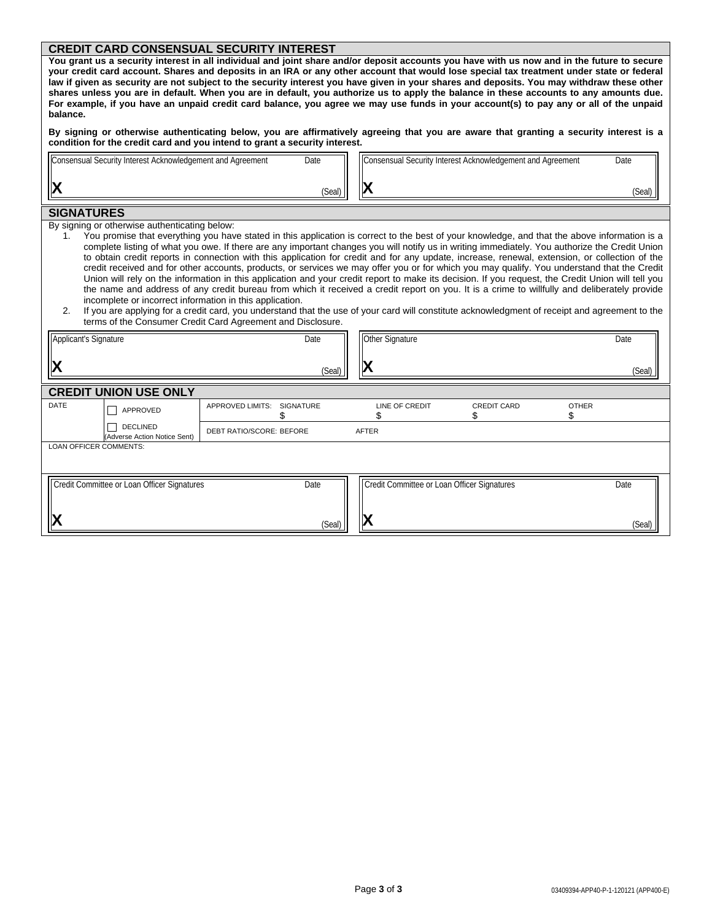## **CREDIT CARD CONSENSUAL SECURITY INTEREST**

| You grant us a security interest in all individual and joint share and/or deposit accounts you have with us now and in the future to secure |
|---------------------------------------------------------------------------------------------------------------------------------------------|
| your credit card account. Shares and deposits in an IRA or any other account that would lose special tax treatment under state or federal   |
| law if given as security are not subject to the security interest you have given in your shares and deposits. You may withdraw these other  |
| shares unless you are in default. When you are in default, you authorize us to apply the balance in these accounts to any amounts due.      |
| For example, if you have an unpaid credit card balance, you agree we may use funds in your account(s) to pay any or all of the unpaid       |
| balance.                                                                                                                                    |
|                                                                                                                                             |

By signing or otherwise authenticating below, you are affirmatively agreeing that you are aware that granting a security interest is a **condition for the credit card and you intend to grant a security interest.**

| Consensual Security Interest Acknowledgement and Agreement | Date   | Consensual Security Interest Acknowledgement and Agreement | Date   |
|------------------------------------------------------------|--------|------------------------------------------------------------|--------|
| $\mathsf l$                                                | (Seal) |                                                            | 'Seal) |
|                                                            |        |                                                            |        |

#### **SIGNATURES**

By signing or otherwise authenticating below:<br>1. You promise that everything you have

You promise that everything you have stated in this application is correct to the best of your knowledge, and that the above information is a complete listing of what you owe. If there are any important changes you will notify us in writing immediately. You authorize the Credit Union to obtain credit reports in connection with this application for credit and for any update, increase, renewal, extension, or collection of the credit received and for other accounts, products, or services we may offer you or for which you may qualify. You understand that the Credit Union will rely on the information in this application and your credit report to make its decision. If you request, the Credit Union will tell you the name and address of any credit bureau from which it received a credit report on you. It is a crime to willfully and deliberately provide incomplete or incorrect information in this application.

| 2. If you are applying for a credit card, you understand that the use of your card will constitute acknowledgment of receipt and agreement to the |
|---------------------------------------------------------------------------------------------------------------------------------------------------|
| terms of the Consumer Credit Card Agreement and Disclosure.                                                                                       |

| Applicant's Signature  |                                             |                          | Date<br>(Seal)   | Other Signature<br>IХ                             |                    |              | Date<br>(Seal) |
|------------------------|---------------------------------------------|--------------------------|------------------|---------------------------------------------------|--------------------|--------------|----------------|
|                        | <b>CREDIT UNION USE ONLY</b>                |                          |                  |                                                   |                    |              |                |
| DATE                   | П<br>APPROVED                               | <b>APPROVED LIMITS:</b>  | <b>SIGNATURE</b> | LINE OF CREDIT                                    | <b>CREDIT CARD</b> | <b>OTHER</b> |                |
|                        | DECLINED<br>(Adverse Action Notice Sent)    | DEBT RATIO/SCORE: BEFORE |                  | AFTER                                             |                    |              |                |
| LOAN OFFICER COMMENTS: |                                             |                          |                  |                                                   |                    |              |                |
|                        | Credit Committee or Loan Officer Signatures |                          | Date<br>(Seal)   | Credit Committee or Loan Officer Signatures<br>IХ |                    |              | Date<br>(Seal) |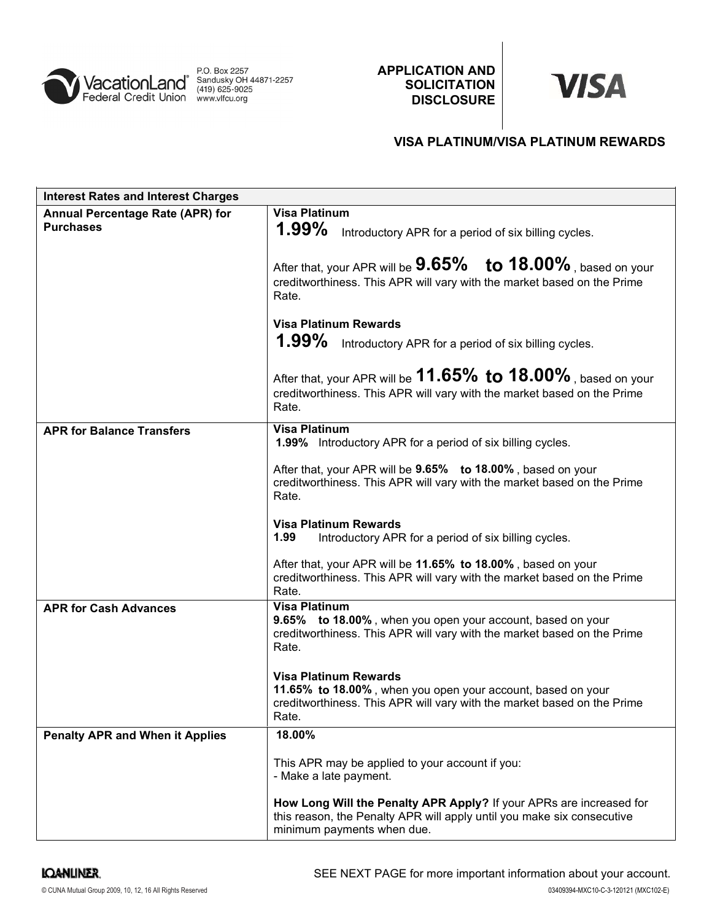

APPLICATION AND **SOLICITATION DISCLOSURE** 



# VISA PLATINUM/VISA PLATINUM REWARDS

| <b>Interest Rates and Interest Charges</b>           |                                                                                                                                                                                 |
|------------------------------------------------------|---------------------------------------------------------------------------------------------------------------------------------------------------------------------------------|
| Annual Percentage Rate (APR) for<br><b>Purchases</b> | <b>Visa Platinum</b><br>$1.99\%$<br>Introductory APR for a period of six billing cycles.<br>After that, your APR will be $9.65\%$ to $18.00\%$ , based on your                  |
|                                                      | creditworthiness. This APR will vary with the market based on the Prime<br>Rate.                                                                                                |
|                                                      | <b>Visa Platinum Rewards</b><br>1.99% Introductory APR for a period of six billing cycles.                                                                                      |
|                                                      | After that, your APR will be $11.65\%$ to $18.00\%$ , based on your<br>creditworthiness. This APR will vary with the market based on the Prime<br>Rate.                         |
| <b>APR for Balance Transfers</b>                     | <b>Visa Platinum</b><br>1.99% Introductory APR for a period of six billing cycles.                                                                                              |
|                                                      | After that, your APR will be 9.65% to 18.00%, based on your<br>creditworthiness. This APR will vary with the market based on the Prime<br>Rate.                                 |
|                                                      | <b>Visa Platinum Rewards</b><br>1.99<br>Introductory APR for a period of six billing cycles.                                                                                    |
|                                                      | After that, your APR will be 11.65% to 18.00%, based on your<br>creditworthiness. This APR will vary with the market based on the Prime<br>Rate.                                |
| <b>APR for Cash Advances</b>                         | <b>Visa Platinum</b><br>9.65% to 18.00%, when you open your account, based on your<br>creditworthiness. This APR will vary with the market based on the Prime<br>Rate.          |
|                                                      | <b>Visa Platinum Rewards</b><br>11.65% to 18.00%, when you open your account, based on your<br>creditworthiness. This APR will vary with the market based on the Prime<br>Rate. |
| <b>Penalty APR and When it Applies</b>               | 18.00%                                                                                                                                                                          |
|                                                      | This APR may be applied to your account if you:<br>- Make a late payment.                                                                                                       |
|                                                      | How Long Will the Penalty APR Apply? If your APRs are increased for<br>this reason, the Penalty APR will apply until you make six consecutive<br>minimum payments when due.     |